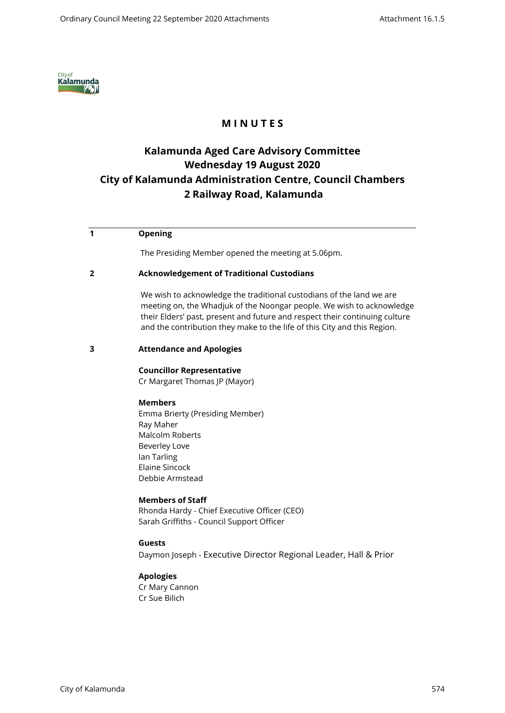

## **M I N U T E S**

# **Kalamunda Aged Care Advisory Committee Wednesday 19 August 2020 City of Kalamunda Administration Centre, Council Chambers 2 Railway Road, Kalamunda**

**1 Opening** 

The Presiding Member opened the meeting at 5.06pm.

## **2 Acknowledgement of Traditional Custodians**

We wish to acknowledge the traditional custodians of the land we are meeting on, the Whadjuk of the Noongar people. We wish to acknowledge their Elders' past, present and future and respect their continuing culture and the contribution they make to the life of this City and this Region.

## **3 Attendance and Apologies**

#### **Councillor Representative**

Cr Margaret Thomas JP (Mayor)

#### **Members**

Emma Brierty (Presiding Member) Ray Maher Malcolm Roberts Beverley Love Ian Tarling Elaine Sincock Debbie Armstead

## **Members of Staff**

Rhonda Hardy - Chief Executive Officer (CEO) Sarah Griffiths - Council Support Officer

## **Guests**

Daymon Joseph - Executive Director Regional Leader, Hall & Prior

## **Apologies**

Cr Mary Cannon Cr Sue Bilich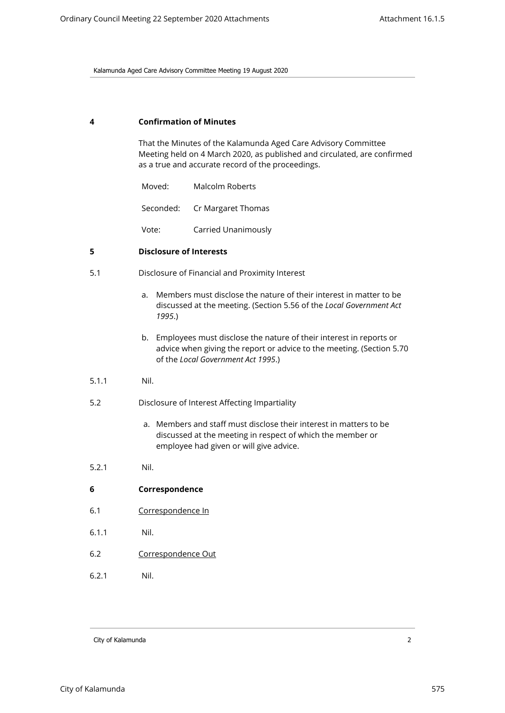Kalamunda Aged Care Advisory Committee Meeting 19 August 2020

#### **4 Confirmation of Minutes**

That the Minutes of the Kalamunda Aged Care Advisory Committee Meeting held on 4 March 2020, as published and circulated, are confirmed as a true and accurate record of the proceedings.

Moved: Malcolm Roberts

Seconded: Cr Margaret Thomas

Vote: Carried Unanimously

#### **5 Disclosure of Interests**

- 5.1 Disclosure of Financial and Proximity Interest
	- a. Members must disclose the nature of their interest in matter to be discussed at the meeting. (Section 5.56 of the *Local Government Act 1995*.)
	- b. Employees must disclose the nature of their interest in reports or advice when giving the report or advice to the meeting. (Section 5.70 of the *Local Government Act 1995*.)
- 5.1.1 Nil.
- 5.2 Disclosure of Interest Affecting Impartiality
	- a. Members and staff must disclose their interest in matters to be discussed at the meeting in respect of which the member or employee had given or will give advice.
- 5.2.1 Nil.

#### **6 Correspondence**

- 6.1 Correspondence In
- 6.1.1 Nil.
- 6.2 Correspondence Out
- 6.2.1 Nil.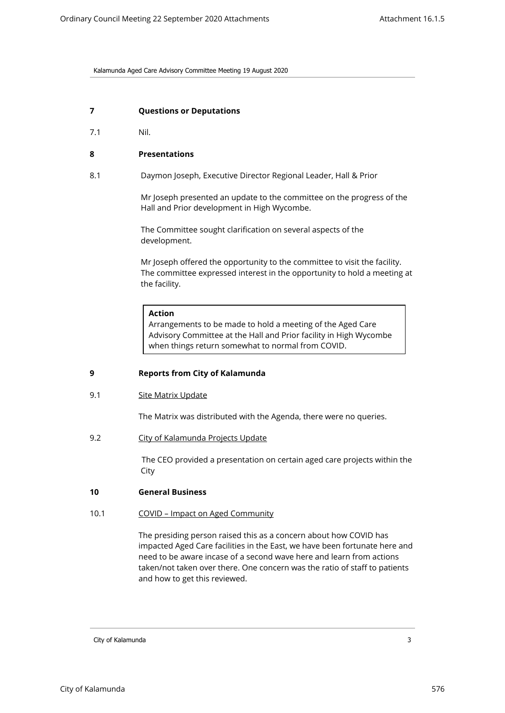Kalamunda Aged Care Advisory Committee Meeting 19 August 2020

#### **7 Questions or Deputations**

7.1 Nil.

#### **8 Presentations**

8.1 Daymon Joseph, Executive Director Regional Leader, Hall & Prior

Mr Joseph presented an update to the committee on the progress of the Hall and Prior development in High Wycombe.

The Committee sought clarification on several aspects of the development.

Mr Joseph offered the opportunity to the committee to visit the facility. The committee expressed interest in the opportunity to hold a meeting at the facility.

#### **Action**

Arrangements to be made to hold a meeting of the Aged Care Advisory Committee at the Hall and Prior facility in High Wycombe when things return somewhat to normal from COVID.

#### **9 Reports from City of Kalamunda**

9.1 Site Matrix Update

The Matrix was distributed with the Agenda, there were no queries.

9.2 City of Kalamunda Projects Update

The CEO provided a presentation on certain aged care projects within the City

#### **10 General Business**

10.1 COVID – Impact on Aged Community

The presiding person raised this as a concern about how COVID has impacted Aged Care facilities in the East, we have been fortunate here and need to be aware incase of a second wave here and learn from actions taken/not taken over there. One concern was the ratio of staff to patients and how to get this reviewed.

City of Kalamunda 3